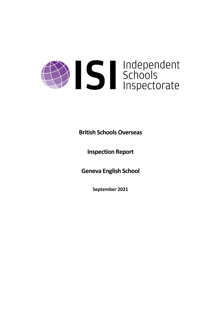# Solutions

# **British Schools Overseas**

**Inspection Report**

**Geneva English School**

**September 2021**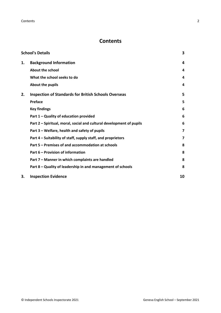**Contents** 2

# **Contents**

|    | <b>School's Details</b>                                              | 3                       |
|----|----------------------------------------------------------------------|-------------------------|
| 1. | <b>Background Information</b>                                        | 4                       |
|    | <b>About the school</b>                                              | 4                       |
|    | What the school seeks to do                                          | 4                       |
|    | About the pupils                                                     | 4                       |
| 2. | <b>Inspection of Standards for British Schools Overseas</b>          | 5                       |
|    | Preface                                                              | 5                       |
|    | <b>Key findings</b>                                                  | 6                       |
|    | Part 1 - Quality of education provided                               | 6                       |
|    | Part 2 - Spiritual, moral, social and cultural development of pupils | 6                       |
|    | Part 3 – Welfare, health and safety of pupils                        | 7                       |
|    | Part 4 – Suitability of staff, supply staff, and proprietors         | $\overline{\mathbf{z}}$ |
|    | Part 5 – Premises of and accommodation at schools                    | 8                       |
|    | Part 6 – Provision of information                                    | 8                       |
|    | Part 7 - Manner in which complaints are handled                      | 8                       |
|    | Part 8 – Quality of leadership in and management of schools          | 8                       |
| З. | <b>Inspection Evidence</b>                                           | 10                      |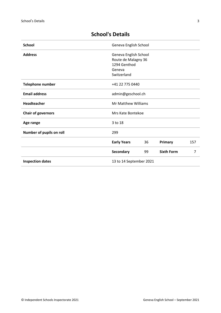| <b>School</b>             | Geneva English School      |    |                   |     |
|---------------------------|----------------------------|----|-------------------|-----|
| <b>Address</b>            | Geneva English School      |    |                   |     |
|                           | Route de Malagny 36        |    |                   |     |
|                           | 1294 Genthod               |    |                   |     |
|                           | Geneva                     |    |                   |     |
|                           | Switzerland                |    |                   |     |
| <b>Telephone number</b>   | +41 22 775 0440            |    |                   |     |
| <b>Email address</b>      | admin@geschool.ch          |    |                   |     |
| Headteacher               | <b>Mr Matthew Williams</b> |    |                   |     |
| <b>Chair of governors</b> | Mrs Kate Bontekoe          |    |                   |     |
| Age range                 | 3 to 18                    |    |                   |     |
| Number of pupils on roll  | 299                        |    |                   |     |
|                           | <b>Early Years</b>         | 36 | Primary           | 157 |
|                           | Secondary                  | 99 | <b>Sixth Form</b> | 7   |
| <b>Inspection dates</b>   | 13 to 14 September 2021    |    |                   |     |

# <span id="page-2-0"></span>**School's Details**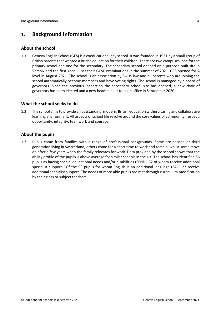# <span id="page-3-0"></span>**1. Background Information**

## <span id="page-3-1"></span>**About the school**

1.1 Geneva English School (GES) is a coeducational day school. It was founded in 1961 by a small group of British parents that wanted a British education for their children. There are two campuses, one for the primary school and one for the secondary. The secondary school opened on a purpose built site in Versoix and the first Year 11 sat their GCSE examinations in the summer of 2021. GES opened for A level in August 2021. The school is an association by Swiss law and all parents who are joining the school automatically become members and have voting rights. The school is managed by a board of governors. Since the previous inspection the secondary school site has opened, a new chair of governors has been elected and a new headteacher took up office in September 2020.

# <span id="page-3-2"></span>**What the school seeks to do**

1.2 The school aimsto provide an outstanding, modern, British education within a caring and collaborative learning environment. All aspects of school life revolve around the core values of community, respect, opportunity, integrity, teamwork and courage.

# <span id="page-3-3"></span>**About the pupils**

1.3 Pupils come from families with a range of professional backgrounds. Some are second or third generation living in Switzerland, others come for a short time to work and remain, whilst some move on after a few years when the family relocates for work. Data provided by the school shows that the ability profile of the pupils is above average for similar schools in the UK. The school has identified 56 pupils as having special educational needs and/or disabilities (SEND), 32 of whom receive additional specialist support. Of the 99 pupils for whom English is an additional language (EAL), 23 receive additional specialist support. The needs of more able pupils are met through curriculum modification by their class or subject teachers.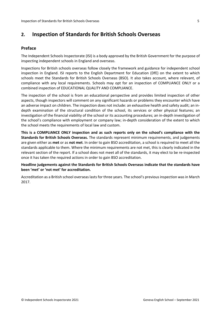# <span id="page-4-0"></span>**2. Inspection of Standards for British Schools Overseas**

# <span id="page-4-1"></span>**Preface**

The Independent Schools Inspectorate (ISI) is a body approved by the British Government for the purpose of inspecting independent schools in England and overseas.

Inspections for British schools overseas follow closely the framework and guidance for independent school inspection in England. ISI reports to the English Department for Education (DfE) on the extent to which schools meet the Standards for British Schools Overseas (BSO). It also takes account, where relevant, of compliance with any local requirements. Schools may opt for an inspection of COMPLIANCE ONLY or a combined inspection of EDUCATIONAL QUALITY AND COMPLIANCE.

The inspection of the school is from an educational perspective and provides limited inspection of other aspects, though inspectors will comment on any significant hazards or problems they encounter which have an adverse impact on children. The inspection does not include: an exhaustive health and safety audit; an indepth examination of the structural condition of the school, its services or other physical features; an investigation of the financial viability of the school or its accounting procedures; an in-depth investigation of the school's compliance with employment or company law; in-depth consideration of the extent to which the school meets the requirements of local law and custom.

**This is a COMPLIANCE ONLY inspection and as such reports only on the school's compliance with the Standards for British Schools Overseas.** The standards represent minimum requirements, and judgements are given either as **met** or as **not met**. In order to gain BSO accreditation, a school is required to meet all the standards applicable to them. Where the minimum requirements are not met, this is clearly indicated in the relevant section of the report. If a school does not meet all of the standards, it may elect to be re-inspected once it has taken the required actions in order to gain BSO accreditation.

#### **Headline judgements against the Standards for British Schools Overseas indicate that the standards have been 'met' or 'not met' for accreditation.**

Accreditation as a British school overseas lasts for three years. The school's previous inspection was in March 2017.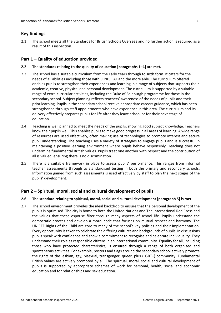# <span id="page-5-0"></span>**Key findings**

2.1 The school meets all the Standards for British Schools Overseas and no further action is required as a result of this inspection.

# <span id="page-5-1"></span>**Part 1 – Quality of education provided**

#### **2.2 The standards relating to the quality of education [paragraphs 1–4] are met.**

- 2.3 The school has a suitable curriculum from the Early Years through to sixth form. It caters for the needs of all abilities including those with SEND, EAL and the more able. The curriculum offered enables pupils to strengthen their experiences and learning in a range of subjects that supports their academic, creative, physical and personal development. The curriculum is supported by a suitable range of extra-curricular activities, including the Duke of Edinburgh programme for those in the secondary school. Subject planning reflects teachers' awareness of the needs of pupils and their prior learning. Pupils in the secondary school receive appropriate careers guidance, which has been strengthened through staff appointments who have experience in this area. The curriculum and its delivery effectively prepares pupils for life after they leave school or for their next stage of education.
- 2.4 Teaching is well planned to meet the needs of the pupils, showing good subject knowledge. Teachers know their pupils well. This enables pupils to make good progress in all areas of learning. A wide range of resources are used effectively, often making use of technologies to promote interest and secure pupil understanding. The teaching uses a variety of strategies to engage pupils and is successful in maintaining a positive learning environment where pupils behave responsibly. Teaching does not undermine fundamental British values. Pupils treat one another with respect and the contribution of all is valued, ensuring there is no discrimination.
- 2.5 There is a suitable framework in place to assess pupils' performance. This ranges from informal teacher assessments through to standardised testing in both the primary and secondary schools. Information gained from such assessments is used effectively by staff to plan the next stages of the pupils' development.

# <span id="page-5-2"></span>**Part 2 – Spiritual, moral, social and cultural development of pupils**

#### **2.6 The standard relating to spiritual, moral, social and cultural development [paragraph 5] is met.**

2.7 The school environment provides the ideal backdrop to ensure that the personal development of the pupils is optimised. The city is home to both the United Nations and The International Red Cross and the values that these espouse filter through many aspects of school life. Pupils understand the democratic process and develop a moral code that focuses on mutual respect and harmony. The UNICEF Rights of the Child are core to many of the school's key policies and their implementation. Every opportunity istaken to celebrate the differing cultures and backgrounds of pupils. In discussions pupils speak with confidence and show a commitment to recognise and celebrate individuality. They understand their role as responsible citizens in an international community. Equality for all, including those who have protected characteristics, is ensured through a range of both organised and spontaneous activities. For example, posters and flags around the secondary school actively promote the rights of the lesbian, gay, bisexual, transgenger, queer, plus (LGBT+) community. Fundamental British values are actively promoted by all. The spiritual, moral, social and cultural development of pupils is supported by appropriate schemes of work for personal, health, social and economic education and for relationships and sex education.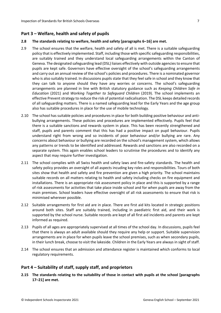## <span id="page-6-0"></span>**Part 3 – Welfare, health and safety of pupils**

#### **2.8 The standards relating to welfare, health and safety [paragraphs 6–16] are met.**

- 2.9 The school ensures that the welfare, health and safety of all is met. There is a suitable safeguarding policy that is effectively implemented. Staff, including those with specific safeguarding responsibilities, are suitably trained and they understand local safeguarding arrangements within the Canton of Geneva. The designated safeguarding lead (DSL) liaises effectively with outside agenciesto ensure that pupils are kept safe. Governors have effective oversight of the school's safeguarding arrangements and carry out an annual review of the school's policies and procedures. There is a nominated governor who is also suitably trained. In discussions pupils state that they feel safe in school and they know that they can talk to anyone should they have any worries or concerns. The school's safeguarding arrangements are planned in line with British statutory guidance such as *Keeping Children Safe in Education* (2021) and *Working Together to Safeguard Children* (2019). The school implements an effective Prevent strategy to reduce the risk of potential radicalisation. The DSL keeps detailed records of all safeguarding matters. There is a named safeguarding lead for the Early Years and the age group also has suitable procedures in place for the use of mobile technology.
- 2.10 The school has suitable policies and procedures in place for both building positive behaviour and antibullying arrangements. These policies and procedures are implemented effectively. Pupils feel that there is a suitable sanctions and rewards system in place. This has been recently strengthened and staff, pupils and parents comment that this has had a positive impact on pupil behaviour. Pupils understand right from wrong and so incidents of poor behaviour and/or bullying are rare. Any concerns about behaviour or bullying are recorded on the school's management system, which allows any patterns or trends to be identified and addressed. Rewards and sanctions are also recorded on a separate system. This again enables school leaders to scrutinise the procedures and to identify any aspect that may require further investigation.
- 2.11 The school complies with all Swiss health and safety laws and fire-safety standards. The health and safety policy provides an oversight of all aspects incuding key roles and responsibilities. Tours of both sites show that health and safety and fire prevention are given a high priority. The school maintains suitable records on all matters relating to health and safety including checks on fire equipment and installations. There is an appropriate risk assessment policy in place and this is supported by a range of risk assessments for activities that take place inside school and for when pupils are away from the main premises. School leaders have effective oversight of all risk assessments to ensure that risk is minimised wherever possible.
- 2.12 Suitable arrangements for first aid are in place. There are first aid kits located in strategic positions around both sites. Staff are suitably trained, including in paediatric first aid, and their work is supported by the school nurse. Suitable records are kept of all first aid incidents and parents are kept informed as required.
- 2.13 Pupils of all ages are appropriately supervised at all times of the school day. In discussions, pupils feel that there is always an adult available should they require any help or support. Suitable supervision arrangements are in place for when pupils leave the school premises, such as when secondary pupils, in their lunch break, choose to visit the lakeside. Children in the Early Years are always in sight of staff.
- 2.14 The school ensures that an admission and attendance register is maintained which conforms to local regulatory requirements.

#### <span id="page-6-1"></span>**Part 4 – Suitability of staff, supply staff, and proprietors**

**2.15 The standards relating to the suitability of those in contact with pupils at the school [paragraphs 17–21] are met.**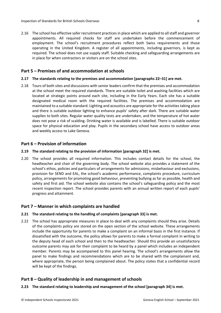2.16 The school has effective safer recruitment practices in place which are applied to all staff and governor appointments. All required checks for staff are undertaken before the commencement of employment. The school's recruitment procedures reflect both Swiss requirements and those operating in the United Kingdom. A register of all appointments, including governors, is kept as required. The school does not use supply staff. Suitable checking and safeguarding arrangements are in place for when contractors or visitors are on the school sites.

## <span id="page-7-0"></span>**Part 5 – Premises of and accommodation at schools**

#### **2.17 The standards relating to the premises and accommodation [paragraphs 22–31] are met.**

2.18 Tours of both sites and discussions with senior leaders confirm that the premises and accommodation at the school meet the required standards. There are suitable toilet and washing facilities which are located at strategic points around each site, including in the Early Years. Each site has a suitable designated medical room with the required facilities. The premises and accommodation are maintained to a suitable standard. Lighting and acoustics are appropriate for the activitiestaking place and there is suitable outdoor lighting to enhance pupils' safety after dark. There are suitable water supplies to both sites. Regular water quality tests are undertaken, and the temperature of hot water does not pose a risk of scalding. Drinking water is available and is labelled. There is suitable outdoor space for physical education and play. Pupils in the secondary school have access to outdoor areas and weekly access to Lake Geneva.

## <span id="page-7-1"></span>**Part 6 – Provision of information**

#### **2.19 The standard relating to the provision of information [paragraph 32] is met.**

2.20 The school provides all required information. This includes contact details for the school, the headteacher and chair of the governing body. The school website also provides a statement of the school's ethos, policies and particulars of arrangements for admissions, misbehaviour and exclusions, provision for SEND and EAL, the school's academic performance, complaints procedure, curriculum policy, arrangements for promoting good behaviour, preventing bullying as far as possible, health and safety and first aid. The school website also contains the school's safeguarding policy and the most recent inspection report. The school provides parents with an annual written report of each pupils' progress and attainment.

#### <span id="page-7-2"></span>**Part 7 – Manner in which complaints are handled**

#### **2.21 The standard relating to the handling of complaints [paragraph 33] is met.**

2.22 The school has appropriate measures in place to deal with any complaints should they arise. Details of the complaints policy are stored on the open section of the school website. These arrangements include the opportunity for parents to make a complaint on an informal basis in the first instance. If dissatisfied with the outcome, the policy allows for parents to make a formal complaint in writing to the deputy head of each school and then to the headteacher. Should this provide an unsatisfactory outcome parents may ask for their complaint to be heard by a panel which includes an independent member. Parents may be accompanied to this panel hearing. The school's arrangements allow the panel to make findings and recommendations which are to be shared with the complainant and, where appropriate, the person being complained about. The policy states that a confidential record will be kept of the findings.

# <span id="page-7-3"></span>**Part 8 – Quality of leadership in and management of schools**

#### **2.23 The standard relating to leadership and management of the school [paragraph 34] is met.**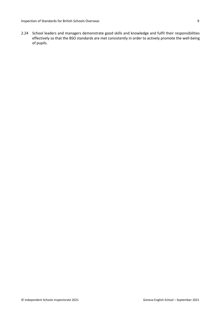2.24 School leaders and managers demonstrate good skills and knowledge and fulfil their responsibilities effectively so that the BSO standards are met consistently in order to actively promote the well-being of pupils.